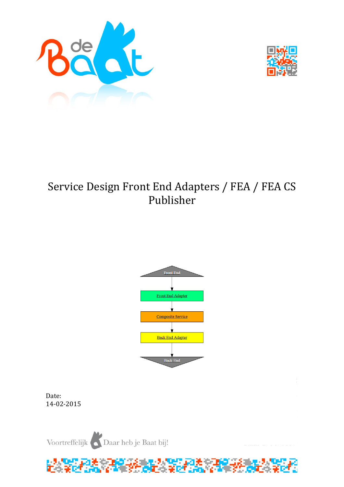



# Service Design Front End Adapters / FEA / FEA CS Publisher



Date: 14-02-2015

Voortreffelijk Daar heb je Baat bij!

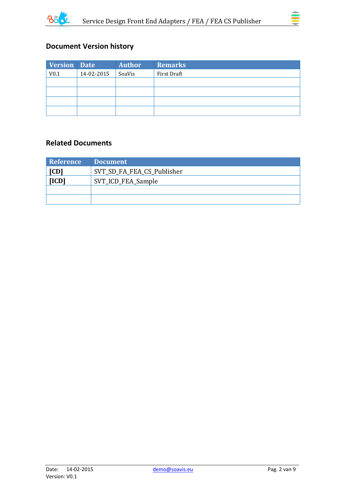



# **Document Version history**

| <b>Version Date</b> |            | <b>Author</b> | <b>Remarks</b> |
|---------------------|------------|---------------|----------------|
| V <sub>0.1</sub>    | 14-02-2015 | SoaVis        | First Draft    |
|                     |            |               |                |
|                     |            |               |                |
|                     |            |               |                |
|                     |            |               |                |

### **Related Documents**

| <b>Reference</b> | <b>Document</b>            |
|------------------|----------------------------|
| [CD]             | SVT_SD_FA_FEA_CS_Publisher |
| [ICD]            | SVT_ICD_FEA_Sample         |
|                  |                            |
|                  |                            |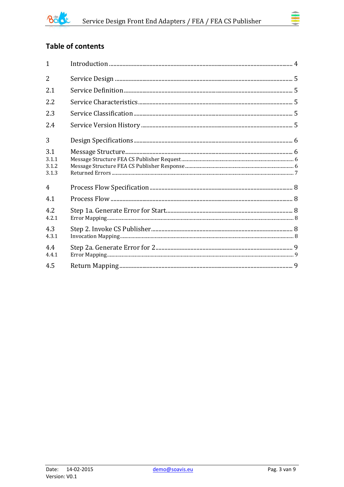

# **Table of contents**

| $\mathbf{1}$                   |  |
|--------------------------------|--|
| $\overline{2}$                 |  |
| 2.1                            |  |
| 2.2                            |  |
| 2.3                            |  |
| 2.4                            |  |
| 3                              |  |
| 3.1<br>3.1.1<br>3.1.2<br>3.1.3 |  |
| $\overline{4}$                 |  |
| 4.1                            |  |
| 4.2<br>4.2.1                   |  |
| 4.3<br>4.3.1                   |  |
| 4.4<br>4.4.1                   |  |
| 4.5                            |  |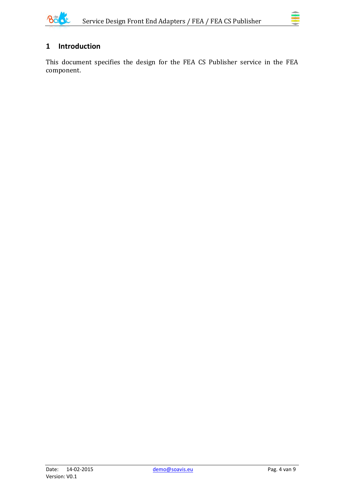

# <span id="page-3-0"></span>**1 Introduction**

This document specifies the design for the FEA CS Publisher service in the FEA component.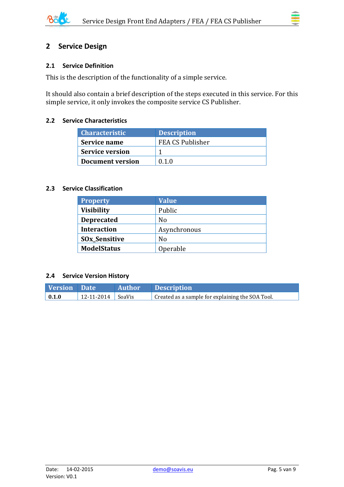

# <span id="page-4-1"></span><span id="page-4-0"></span>**2.1 Service Definition**

This is the description of the functionality of a simple service.

It should also contain a brief description of the steps executed in this service. For this simple service, it only invokes the composite service CS Publisher.

#### <span id="page-4-2"></span>**2.2 Service Characteristics**

| <b>Characteristic</b>  | <b>Description</b> |
|------------------------|--------------------|
| Service name           | FEA CS Publisher   |
| <b>Service version</b> |                    |
| Document version       | 0.1.0              |

#### <span id="page-4-3"></span>**2.3 Service Classification**

| <b>Property</b>      | <b>Value</b> |
|----------------------|--------------|
| <b>Visibility</b>    | Public       |
| <b>Deprecated</b>    | No           |
| <b>Interaction</b>   | Asynchronous |
| <b>SOx_Sensitive</b> | No           |
| <b>ModelStatus</b>   | Operable     |

#### <span id="page-4-4"></span>**2.4 Service Version History**

| Version Date        |                       | Author Description                               |
|---------------------|-----------------------|--------------------------------------------------|
| $\vert 0.1.0 \vert$ | $12-11-2014$   SoaVis | Created as a sample for explaining the SOA Tool. |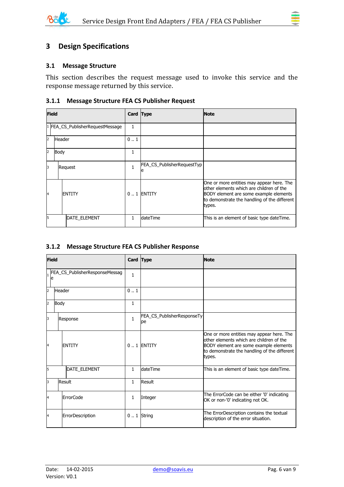

# <span id="page-5-0"></span>**3 Design Specifications**

#### <span id="page-5-1"></span>**3.1 Message Structure**

This section describes the request message used to invoke this service and the response message returned by this service.

#### <span id="page-5-2"></span>**3.1.1 Message Structure FEA CS Publisher Request**

|    | <b>Field</b>                     |               |              | Card Type                       | <b>Note</b>                                                                                                                                                                               |
|----|----------------------------------|---------------|--------------|---------------------------------|-------------------------------------------------------------------------------------------------------------------------------------------------------------------------------------------|
|    | 1 FEA CS_PublisherRequestMessage |               | 1.           |                                 |                                                                                                                                                                                           |
| 2  | <b>Header</b>                    |               | 01           |                                 |                                                                                                                                                                                           |
| 2  | Body                             |               | 1            |                                 |                                                                                                                                                                                           |
| 13 |                                  | Request       | $\mathbf{1}$ | FEA_CS_PublisherRequestTyp<br>e |                                                                                                                                                                                           |
| 14 |                                  | <b>ENTITY</b> |              | $0.1$ ENTITY                    | One or more entities may appear here. The<br>other elements which are children of the<br>BODY element are some example elements<br>to demonstrate the handling of the different<br>types. |
| 5  |                                  | DATE_ELEMENT  | 1            | <b>dateTime</b>                 | This is an element of basic type dateTime.                                                                                                                                                |

#### <span id="page-5-3"></span>**3.1.2 Message Structure FEA CS Publisher Response**

| <b>Field</b>   |                                     | Card Type        |              | <b>Note</b>                      |                                                                                                                                                                                           |
|----------------|-------------------------------------|------------------|--------------|----------------------------------|-------------------------------------------------------------------------------------------------------------------------------------------------------------------------------------------|
|                | FEA_CS_PublisherResponseMessag<br>e |                  | $\mathbf{1}$ |                                  |                                                                                                                                                                                           |
| $\overline{2}$ | Header                              |                  | 01           |                                  |                                                                                                                                                                                           |
| 2              | Body                                |                  | $\mathbf{1}$ |                                  |                                                                                                                                                                                           |
| 3              | Response                            |                  | $\mathbf{1}$ | FEA_CS_PublisherResponseTy<br>pe |                                                                                                                                                                                           |
| 4              |                                     | <b>ENTITY</b>    |              | $0.1$ ENTITY                     | One or more entities may appear here. The<br>other elements which are children of the<br>BODY element are some example elements<br>to demonstrate the handling of the different<br>types. |
| 5              |                                     | DATE_ELEMENT     | $\mathbf{1}$ | dateTime                         | This is an element of basic type dateTime.                                                                                                                                                |
| 3              |                                     | Result           | $\mathbf{1}$ | Result                           |                                                                                                                                                                                           |
| 4              |                                     | <b>ErrorCode</b> | 1            | Integer                          | The ErrorCode can be either '0' indicating<br>OK or non-'0' indicating not OK.                                                                                                            |
| 4              |                                     | ErrorDescription |              | $0.1$ String                     | The ErrorDescription contains the textual<br>description of the error situation.                                                                                                          |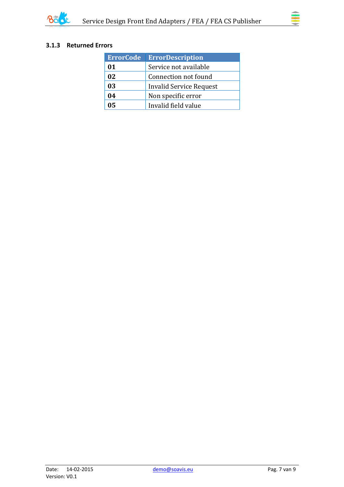

### <span id="page-6-0"></span>**3.1.3 Returned Errors**

| <b>ErrorCode</b> | <b>ErrorDescription</b> |
|------------------|-------------------------|
| 01               | Service not available   |
| 02               | Connection not found    |
| 03               | Invalid Service Request |
| 04               | Non specific error      |
| 05               | Invalid field value     |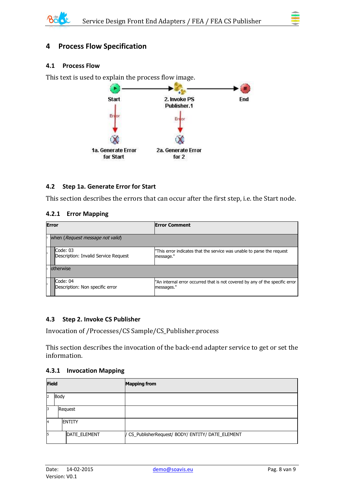

## <span id="page-7-0"></span>**4 Process Flow Specification**

#### <span id="page-7-1"></span>**4.1 Process Flow**

This text is used to explain the process flow image.



#### <span id="page-7-2"></span>**4.2 Step 1a. Generate Error for Start**

This section describes the errors that can occur after the first step, i.e. the Start node.

#### <span id="page-7-3"></span>**4.2.1 Error Mapping**

| <b>Error</b> |                                                  | <b>Error Comment</b>                                                                       |  |  |
|--------------|--------------------------------------------------|--------------------------------------------------------------------------------------------|--|--|
|              | when (Request message not valid)                 |                                                                                            |  |  |
|              | Code: 03<br>Description: Invalid Service Request | "This error indicates that the service was unable to parse the request<br>message."        |  |  |
|              | lotherwise                                       |                                                                                            |  |  |
|              | Code: 04<br>Description: Non specific error      | "An internal error occurred that is not covered by any of the specific error<br>messages." |  |  |

#### <span id="page-7-4"></span>**4.3 Step 2. Invoke CS Publisher**

Invocation of /Processes/CS Sample/CS\_Publisher.process

This section describes the invocation of the back-end adapter service to get or set the information.

#### <span id="page-7-5"></span>**4.3.1 Invocation Mapping**

| <b>Field</b>           |               | <b>Mapping from</b>                               |
|------------------------|---------------|---------------------------------------------------|
| Body<br>$\overline{2}$ |               |                                                   |
| 3                      | Request       |                                                   |
| $\overline{A}$         | <b>ENTITY</b> |                                                   |
| 5                      | DATE_ELEMENT  | / CS_PublisherRequest/ BODY/ ENTITY/ DATE_ELEMENT |